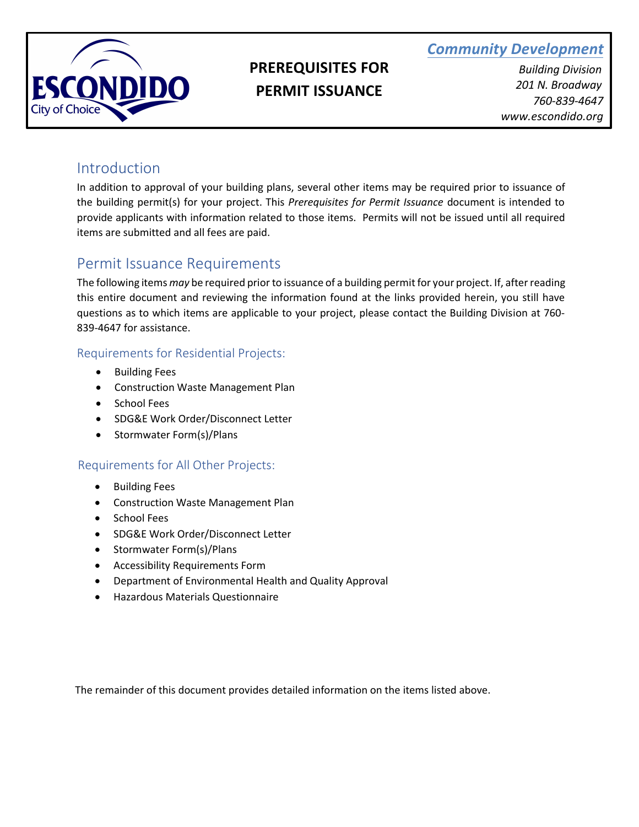



# **PREREQUISITES FOR PERMIT ISSUANCE**

*Building Division 201 N. Broadway 760-839-4647 www.escondido.org*

## Introduction

In addition to approval of your building plans, several other items may be required prior to issuance of the building permit(s) for your project. This *Prerequisites for Permit Issuance* document is intended to provide applicants with information related to those items. Permits will not be issued until all required items are submitted and all fees are paid.

# Permit Issuance Requirements

The following items *may* be required prior to issuance of a building permit for your project. If, after reading this entire document and reviewing the information found at the links provided herein, you still have questions as to which items are applicable to your project, please contact the Building Division at 760- 839-4647 for assistance.

## Requirements for Residential Projects:

- Building Fees
- Construction Waste Management Plan
- School Fees
- SDG&E Work Order/Disconnect Letter
- Stormwater Form(s)/Plans

### Requirements for All Other Projects:

- Building Fees
- Construction Waste Management Plan
- School Fees
- SDG&E Work Order/Disconnect Letter
- Stormwater Form(s)/Plans
- Accessibility Requirements Form
- Department of Environmental Health and Quality Approval
- Hazardous Materials Questionnaire

The remainder of this document provides detailed information on the items listed above.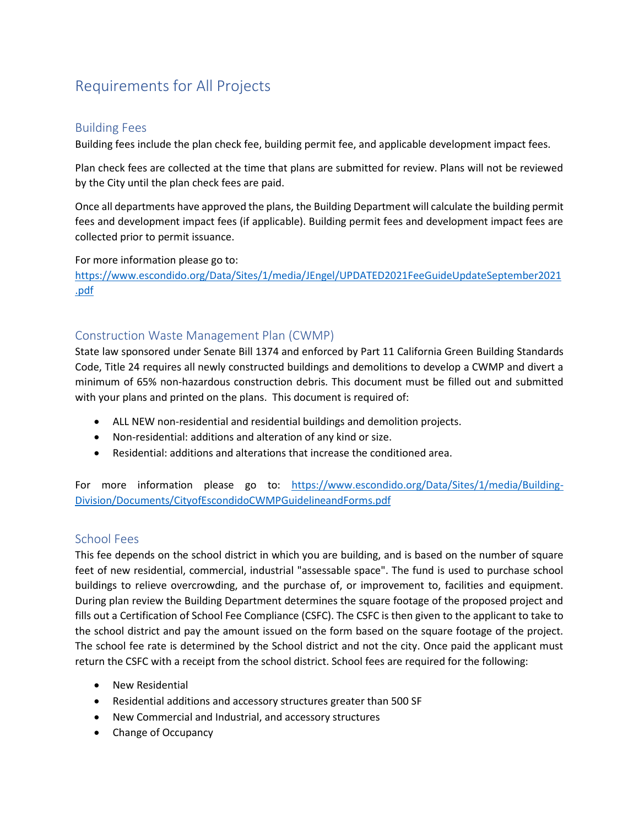# Requirements for All Projects

#### Building Fees

Building fees include the plan check fee, building permit fee, and applicable development impact fees.

Plan check fees are collected at the time that plans are submitted for review. Plans will not be reviewed by the City until the plan check fees are paid.

Once all departments have approved the plans, the Building Department will calculate the building permit fees and development impact fees (if applicable). Building permit fees and development impact fees are collected prior to permit issuance.

For more information please go to:

[https://www.escondido.org/Data/Sites/1/media/JEngel/UPDATED2021FeeGuideUpdateSeptember2021](https://www.escondido.org/Data/Sites/1/media/JEngel/UPDATED2021FeeGuideUpdateSeptember2021.pdf) [.pdf](https://www.escondido.org/Data/Sites/1/media/JEngel/UPDATED2021FeeGuideUpdateSeptember2021.pdf)

#### Construction Waste Management Plan (CWMP)

State law sponsored under Senate Bill 1374 and enforced by Part 11 California Green Building Standards Code, Title 24 requires all newly constructed buildings and demolitions to develop a CWMP and divert a minimum of 65% non-hazardous construction debris. This document must be filled out and submitted with your plans and printed on the plans. This document is required of:

- ALL NEW non-residential and residential buildings and demolition projects.
- Non-residential: additions and alteration of any kind or size.
- Residential: additions and alterations that increase the conditioned area.

For more information please go to: [https://www.escondido.org/Data/Sites/1/media/Building-](https://www.escondido.org/Data/Sites/1/media/Building-Division/Documents/CityofEscondidoCWMPGuidelineandForms.pdf)[Division/Documents/CityofEscondidoCWMPGuidelineandForms.pdf](https://www.escondido.org/Data/Sites/1/media/Building-Division/Documents/CityofEscondidoCWMPGuidelineandForms.pdf)

#### School Fees

This fee depends on the school district in which you are building, and is based on the number of square feet of new residential, commercial, industrial "assessable space". The fund is used to purchase school buildings to relieve overcrowding, and the purchase of, or improvement to, facilities and equipment. During plan review the Building Department determines the square footage of the proposed project and fills out a Certification of School Fee Compliance (CSFC). The CSFC is then given to the applicant to take to the school district and pay the amount issued on the form based on the square footage of the project. The school fee rate is determined by the School district and not the city. Once paid the applicant must return the CSFC with a receipt from the school district. School fees are required for the following:

- New Residential
- Residential additions and accessory structures greater than 500 SF
- New Commercial and Industrial, and accessory structures
- Change of Occupancy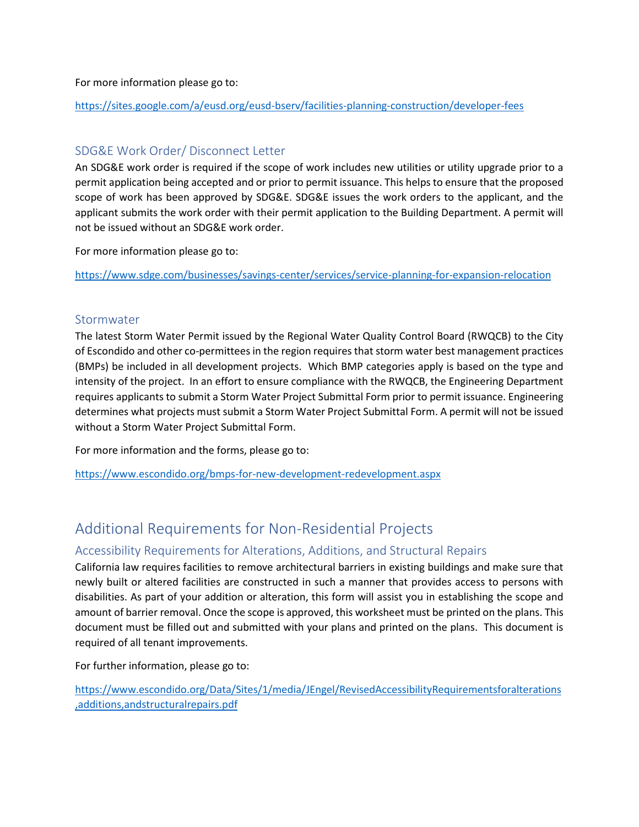For more information please go to:

<https://sites.google.com/a/eusd.org/eusd-bserv/facilities-planning-construction/developer-fees>

#### SDG&E Work Order/ Disconnect Letter

An SDG&E work order is required if the scope of work includes new utilities or utility upgrade prior to a permit application being accepted and or prior to permit issuance. This helps to ensure that the proposed scope of work has been approved by SDG&E. SDG&E issues the work orders to the applicant, and the applicant submits the work order with their permit application to the Building Department. A permit will not be issued without an SDG&E work order.

For more information please go to:

<https://www.sdge.com/businesses/savings-center/services/service-planning-for-expansion-relocation>

#### Stormwater

The latest Storm Water Permit issued by the Regional Water Quality Control Board (RWQCB) to the City of Escondido and other co-permittees in the region requires that storm water best management practices (BMPs) be included in all development projects. Which BMP categories apply is based on the type and intensity of the project. In an effort to ensure compliance with the RWQCB, the Engineering Department requires applicants to submit a Storm Water Project Submittal Form prior to permit issuance. Engineering determines what projects must submit a Storm Water Project Submittal Form. A permit will not be issued without a Storm Water Project Submittal Form.

For more information and the forms, please go to:

<https://www.escondido.org/bmps-for-new-development-redevelopment.aspx>

## Additional Requirements for Non-Residential Projects

#### Accessibility Requirements for Alterations, Additions, and Structural Repairs

California law requires facilities to remove architectural barriers in existing buildings and make sure that newly built or altered facilities are constructed in such a manner that provides access to persons with disabilities. As part of your addition or alteration, this form will assist you in establishing the scope and amount of barrier removal. Once the scope is approved, this worksheet must be printed on the plans. This document must be filled out and submitted with your plans and printed on the plans. This document is required of all tenant improvements.

For further information, please go to:

[https://www.escondido.org/Data/Sites/1/media/JEngel/RevisedAccessibilityRequirementsforalterations](https://www.escondido.org/Data/Sites/1/media/JEngel/RevisedAccessibilityRequirementsforalterations,additions,andstructuralrepairs.pdf) [,additions,andstructuralrepairs.pdf](https://www.escondido.org/Data/Sites/1/media/JEngel/RevisedAccessibilityRequirementsforalterations,additions,andstructuralrepairs.pdf)